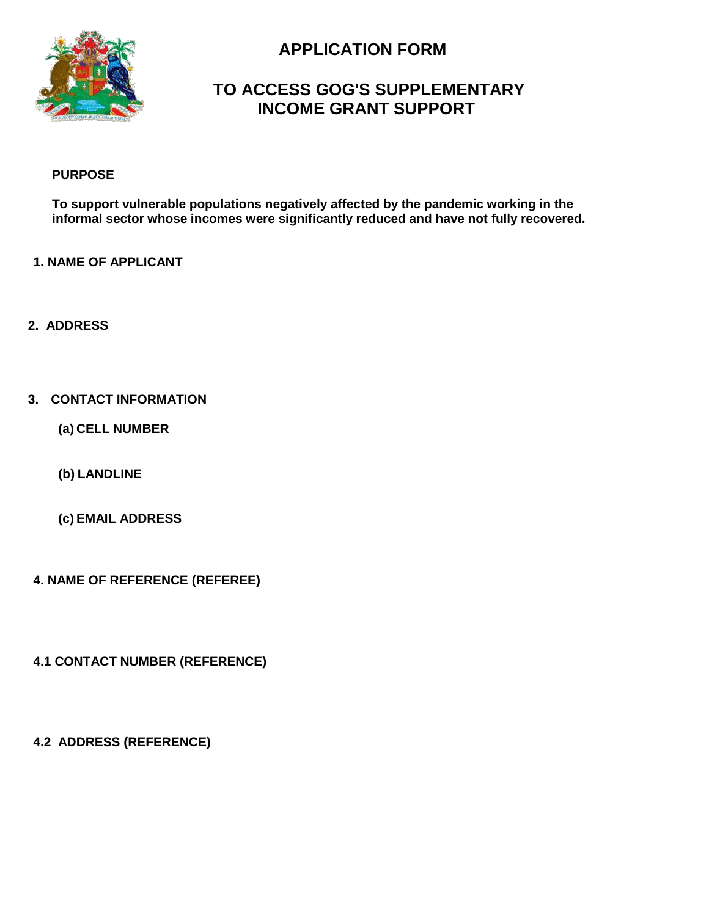

# **APPLICATION FORM**

## **TO ACCESS GOG'S SUPPLEMENTARY INCOME GRANT SUPPORT**

#### **PURPOSE**

**To support vulnerable populations negatively affected by the pandemic working in the informal sector whose incomes were significantly reduced and have not fully recovered.**

#### **1. NAME OF APPLICANT**

**2. ADDRESS**

#### **3. CONTACT INFORMATION**

**(a) CELL NUMBER**

**(b) LANDLINE**

**(c) EMAIL ADDRESS**

**4. NAME OF REFERENCE (REFEREE)**

**4.1 CONTACT NUMBER (REFERENCE)**

**4.2 ADDRESS (REFERENCE)**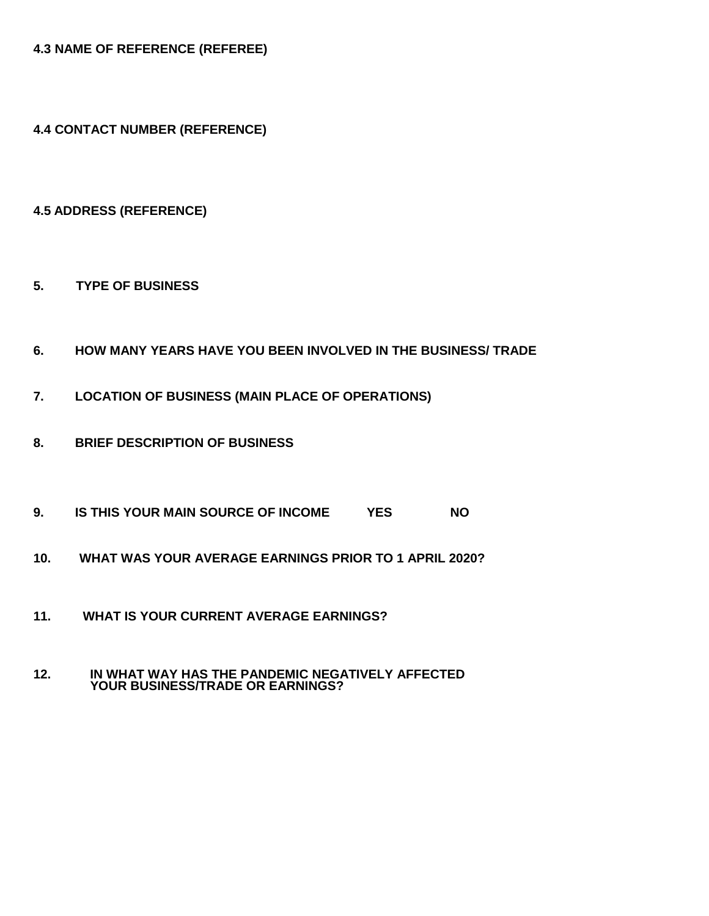**4.3 NAME OF REFERENCE (REFEREE)**

**4.4 CONTACT NUMBER (REFERENCE)**

**4.5 ADDRESS (REFERENCE)** 

- **5. TYPE OF BUSINESS**
- **6. HOW MANY YEARS HAVE YOU BEEN INVOLVED IN THE BUSINESS/ TRADE**
- **7. LOCATION OF BUSINESS (MAIN PLACE OF OPERATIONS)**
- **8. BRIEF DESCRIPTION OF BUSINESS**
- **9. IS THIS YOUR MAIN SOURCE OF INCOME YES NO**
- **10. WHAT WAS YOUR AVERAGE EARNINGS PRIOR TO 1 APRIL 2020?**
- **11. WHAT IS YOUR CURRENT AVERAGE EARNINGS?**

#### **12. IN WHAT WAY HAS THE PANDEMIC NEGATIVELY AFFECTED YOUR BUSINESS/TRADE OR EARNINGS?**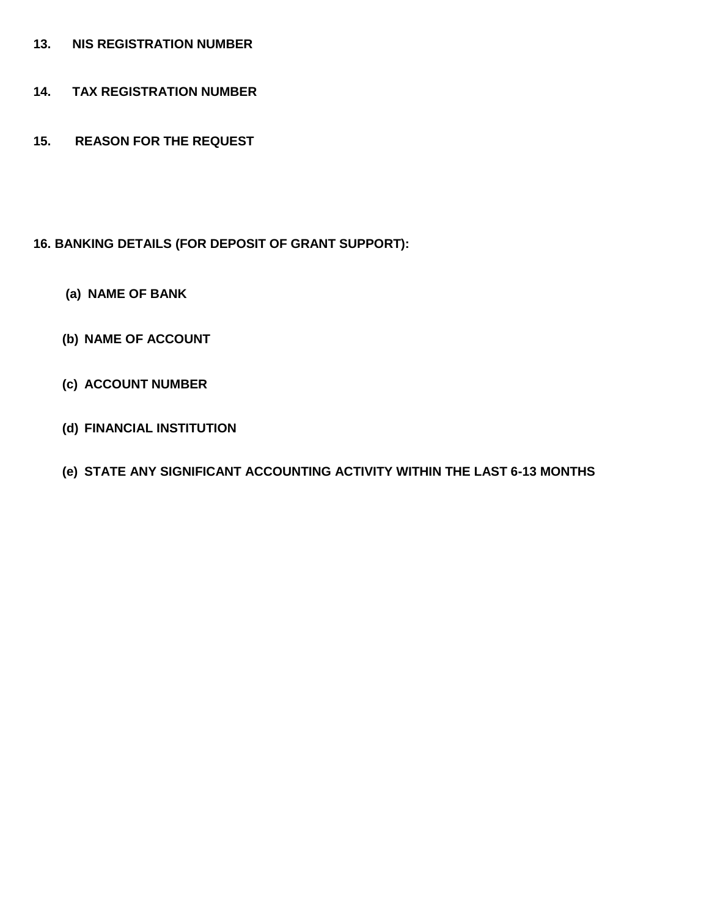- **13. NIS REGISTRATION NUMBER**
- **14. TAX REGISTRATION NUMBER**
- **15. REASON FOR THE REQUEST**

### **16. BANKING DETAILS (FOR DEPOSIT OF GRANT SUPPORT):**

- **(a) NAME OF BANK**
- **(b) NAME OF ACCOUNT**
- **(c) ACCOUNT NUMBER**
- **(d) FINANCIAL INSTITUTION**
- **(e) STATE ANY SIGNIFICANT ACCOUNTING ACTIVITY WITHIN THE LAST 6-13 MONTHS**